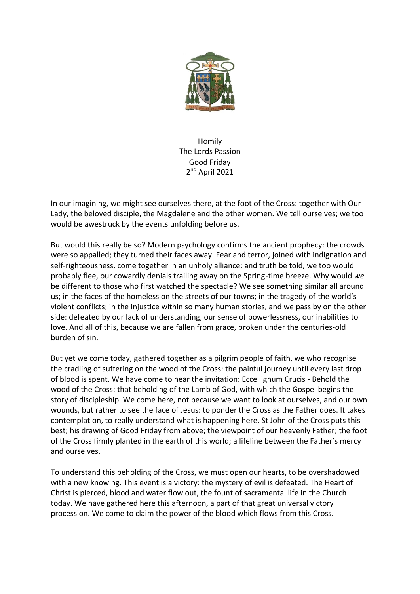

Homily The Lords Passion Good Friday 2<sup>nd</sup> April 2021

In our imagining, we might see ourselves there, at the foot of the Cross: together with Our Lady, the beloved disciple, the Magdalene and the other women. We tell ourselves; we too would be awestruck by the events unfolding before us.

But would this really be so? Modern psychology confirms the ancient prophecy: the crowds were so appalled; they turned their faces away. Fear and terror, joined with indignation and self-righteousness, come together in an unholy alliance; and truth be told, we too would probably flee, our cowardly denials trailing away on the Spring-time breeze. Why would *we* be different to those who first watched the spectacle? We see something similar all around us; in the faces of the homeless on the streets of our towns; in the tragedy of the world's violent conflicts; in the injustice within so many human stories, and we pass by on the other side: defeated by our lack of understanding, our sense of powerlessness, our inabilities to love. And all of this, because we are fallen from grace, broken under the centuries-old burden of sin.

But yet we come today, gathered together as a pilgrim people of faith, we who recognise the cradling of suffering on the wood of the Cross: the painful journey until every last drop of blood is spent. We have come to hear the invitation: Ecce lignum Crucis - Behold the wood of the Cross: that beholding of the Lamb of God, with which the Gospel begins the story of discipleship. We come here, not because we want to look at ourselves, and our own wounds, but rather to see the face of Jesus: to ponder the Cross as the Father does. It takes contemplation, to really understand what is happening here. St John of the Cross puts this best; his drawing of Good Friday from above; the viewpoint of our heavenly Father; the foot of the Cross firmly planted in the earth of this world; a lifeline between the Father's mercy and ourselves.

To understand this beholding of the Cross, we must open our hearts, to be overshadowed with a new knowing. This event is a victory: the mystery of evil is defeated. The Heart of Christ is pierced, blood and water flow out, the fount of sacramental life in the Church today. We have gathered here this afternoon, a part of that great universal victory procession. We come to claim the power of the blood which flows from this Cross.